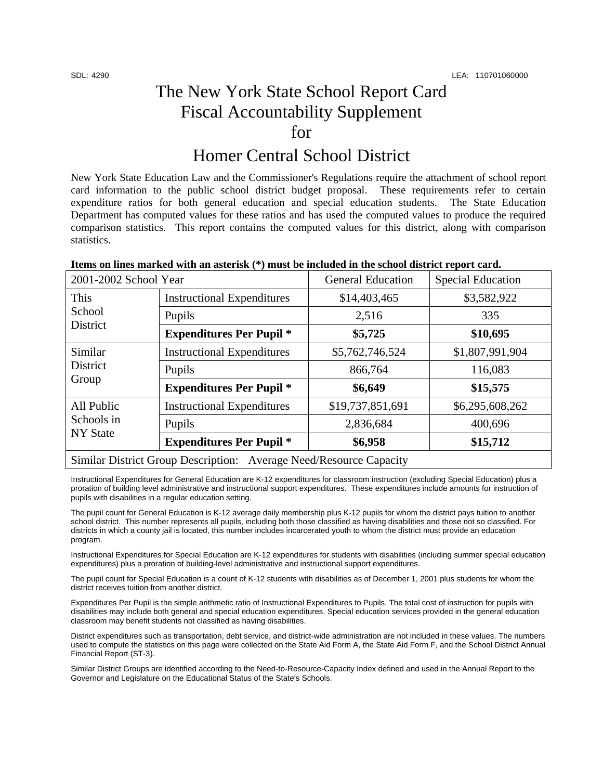## The New York State School Report Card Fiscal Accountability Supplement for

## Homer Central School District

New York State Education Law and the Commissioner's Regulations require the attachment of school report card information to the public school district budget proposal. These requirements refer to certain expenditure ratios for both general education and special education students. The State Education Department has computed values for these ratios and has used the computed values to produce the required comparison statistics. This report contains the computed values for this district, along with comparison statistics.

| Items on lines marked with an asterisk (*) must be included in the school district report card. |  |  |
|-------------------------------------------------------------------------------------------------|--|--|
|                                                                                                 |  |  |

| 2001-2002 School Year                                              |                                   | <b>General Education</b> | <b>Special Education</b> |  |
|--------------------------------------------------------------------|-----------------------------------|--------------------------|--------------------------|--|
| This<br>School<br><b>District</b>                                  | <b>Instructional Expenditures</b> | \$14,403,465             | \$3,582,922              |  |
|                                                                    | Pupils                            | 2,516                    | 335                      |  |
|                                                                    | <b>Expenditures Per Pupil *</b>   | \$5,725                  | \$10,695                 |  |
| Similar<br><b>District</b><br>Group                                | <b>Instructional Expenditures</b> | \$5,762,746,524          | \$1,807,991,904          |  |
|                                                                    | Pupils                            | 866,764                  | 116,083                  |  |
|                                                                    | <b>Expenditures Per Pupil *</b>   | \$6,649                  | \$15,575                 |  |
| All Public<br>Schools in<br><b>NY State</b>                        | <b>Instructional Expenditures</b> | \$19,737,851,691         | \$6,295,608,262          |  |
|                                                                    | Pupils                            | 2,836,684                | 400,696                  |  |
|                                                                    | <b>Expenditures Per Pupil *</b>   | \$6,958                  | \$15,712                 |  |
| Similar District Group Description: Average Need/Resource Capacity |                                   |                          |                          |  |

Instructional Expenditures for General Education are K-12 expenditures for classroom instruction (excluding Special Education) plus a proration of building level administrative and instructional support expenditures. These expenditures include amounts for instruction of pupils with disabilities in a regular education setting.

The pupil count for General Education is K-12 average daily membership plus K-12 pupils for whom the district pays tuition to another school district. This number represents all pupils, including both those classified as having disabilities and those not so classified. For districts in which a county jail is located, this number includes incarcerated youth to whom the district must provide an education program.

Instructional Expenditures for Special Education are K-12 expenditures for students with disabilities (including summer special education expenditures) plus a proration of building-level administrative and instructional support expenditures.

The pupil count for Special Education is a count of K-12 students with disabilities as of December 1, 2001 plus students for whom the district receives tuition from another district.

Expenditures Per Pupil is the simple arithmetic ratio of Instructional Expenditures to Pupils. The total cost of instruction for pupils with disabilities may include both general and special education expenditures. Special education services provided in the general education classroom may benefit students not classified as having disabilities.

District expenditures such as transportation, debt service, and district-wide administration are not included in these values. The numbers used to compute the statistics on this page were collected on the State Aid Form A, the State Aid Form F, and the School District Annual Financial Report (ST-3).

Similar District Groups are identified according to the Need-to-Resource-Capacity Index defined and used in the Annual Report to the Governor and Legislature on the Educational Status of the State's Schools.